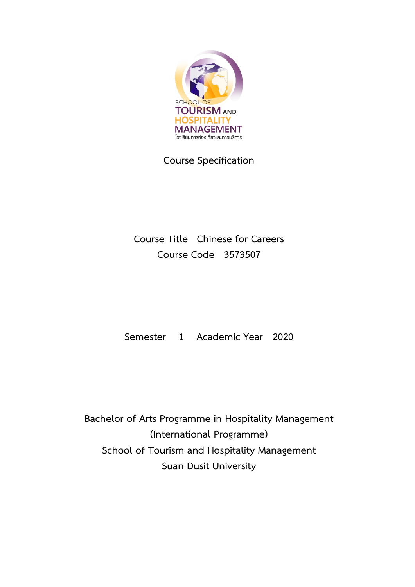

**Course Specification**

**Course Title Chinese for Careers Course Code 3573507**

**Semester 1 Academic Year 2020**

**Bachelor of Arts Programme in Hospitality Management (International Programme) School of Tourism and Hospitality Management Suan Dusit University**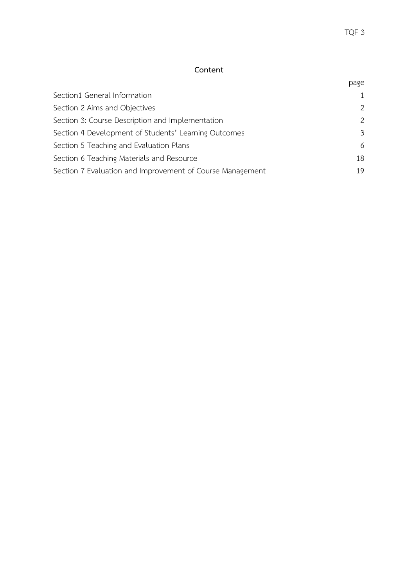## **Content**

|                                                           | page          |
|-----------------------------------------------------------|---------------|
| Section1 General Information                              | $\mathbf{1}$  |
| Section 2 Aims and Objectives                             | $\mathcal{P}$ |
| Section 3: Course Description and Implementation          | $\mathcal{P}$ |
| Section 4 Development of Students' Learning Outcomes      | 3             |
| Section 5 Teaching and Evaluation Plans                   | 6             |
| Section 6 Teaching Materials and Resource                 | 18            |
| Section 7 Evaluation and Improvement of Course Management | 19            |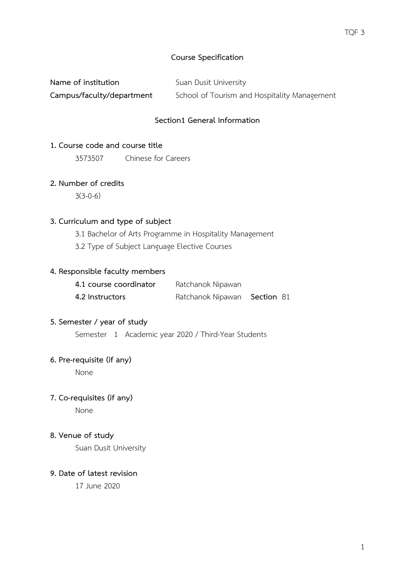## **Course Specification**

| Name of institution       | Suan Dusit University                        |
|---------------------------|----------------------------------------------|
| Campus/faculty/department | School of Tourism and Hospitality Management |

## **Section1 General Information**

### <span id="page-2-0"></span>**1. Course code and course title**

3573507 Chinese for Careers

### **2. Number of credits**

 $3(3-0-6)$ 

#### **3. Curriculum and type of subject**

3.1 Bachelor of Arts Programme in Hospitality Management

3.2 Type of Subject Language Elective Courses

### **4. Responsible faculty members**

| 4.1 course coordinator | Ratchanok Nipawan            |  |
|------------------------|------------------------------|--|
| 4.2 Instructors        | Ratchanok Nipawan Section B1 |  |

#### **5. Semester / year of study**

Semester 1 Academic year 2020 / Third-Year Students

### **6. Pre-requisite (if any)**

None

### **7. Co-requisites (if any)**

None

### **8. Venue of study**

Suan Dusit University

## <span id="page-2-1"></span>**9. Date of latest revision**

17 June 2020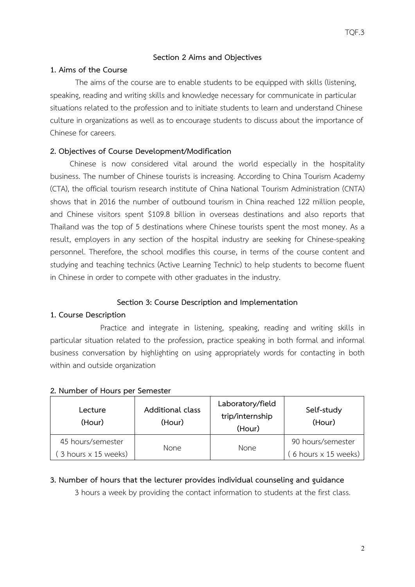### **Section 2 Aims and Objectives**

### **1. Aims of the Course**

The aims of the course are to enable students to be equipped with skills (listening, speaking, reading and writing skills and knowledge necessary for communicate in particular situations related to the profession and to initiate students to learn and understand Chinese culture in organizations as well as to encourage students to discuss about the importance of Chinese for careers.

### **2. Objectives of Course Development/Modification**

Chinese is now considered vital around the world especially in the hospitality business. The number of Chinese tourists is increasing. According to China Tourism Academy (CTA), the official tourism research institute of China National Tourism Administration (CNTA) shows that in 2016 the number of outbound tourism in China reached 122 million people, and Chinese visitors spent \$109.8 billion in overseas destinations and also reports that Thailand was the top of 5 destinations where Chinese tourists spent the most money. As a result, employers in any section of the hospital industry are seeking for Chinese-speaking personnel. Therefore, the school modifies this course, in terms of the course content and studying and teaching technics (Active Learning Technic) to help students to become fluent in Chinese in order to compete with other graduates in the industry.

#### **Section 3: Course Description and Implementation**

#### <span id="page-3-0"></span>**1. Course Description**

Practice and integrate in listening, speaking, reading and writing skills in particular situation related to the profession, practice speaking in both formal and informal business conversation by highlighting on using appropriately words for contacting in both within and outside organization

#### **2. Number of Hours per Semester**

| Lecture<br>(Hour)             | Additional class<br>(Hour) | Laboratory/field<br>trip/internship<br>(Hour) | Self-study<br>(Hour)       |
|-------------------------------|----------------------------|-----------------------------------------------|----------------------------|
| 45 hours/semester             | None.                      | <b>None</b>                                   | 90 hours/semester          |
| $(3$ hours $\times$ 15 weeks) |                            |                                               | 6 hours $\times$ 15 weeks) |

### **3. Number of hours that the lecturer provides individual counseling and guidance**

3 hours a week by providing the contact information to students at the first class.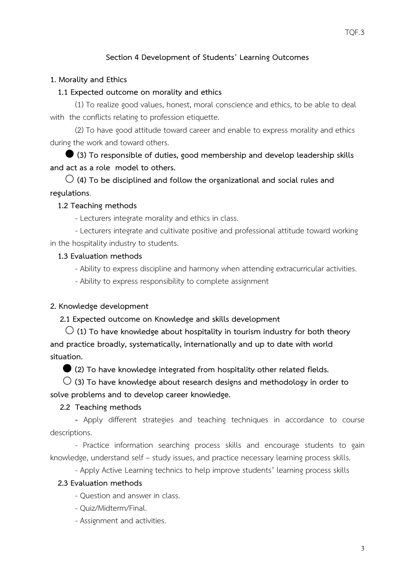# **Section 4 Development of Students' Learning Outcomes**

### <span id="page-4-0"></span>**1. Morality and Ethics**

#### **1.1 Expected outcome on morality and ethics**

(1) To realize good values, honest, moral conscience and ethics, to be able to deal with the conflicts relating to profession etiquette.

(2) To have good attitude toward career and enable to express morality and ethics during the work and toward others.

 **(3) To responsible of duties, good membership and develop leadership skills and act as a role model to others.**

 **(4) To be disciplined and follow the organizational and social rules and regulations**.

#### **1.2 Teaching methods**

- Lecturers integrate morality and ethics in class.

- Lecturers integrate and cultivate positive and professional attitude toward working in the hospitality industry to students.

#### **1.3 Evaluation methods**

- Ability to express discipline and harmony when attending extracurricular activities.

- Ability to express responsibility to complete assignment

#### **2. Knowledge development**

**2.1 Expected outcome on Knowledge and skills development**

 **(1) To have knowledge about hospitality in tourism industry for both theory and practice broadly, systematically, internationally and up to date with world situation.**

**(2) To have knowledge integrated from hospitality other related fields.**

 **(3) To have knowledge about research designs and methodology in order to solve problems and to develop career knowledge.**

#### **2.2 Teaching methods**

**-** Apply different strategies and teaching techniques in accordance to course descriptions.

- Practice information searching process skills and encourage students to gain knowledge, understand self – study issues, and practice necessary learning process skills.

- Apply Active Learning technics to help improve students' learning process skills

#### **2.3 Evaluation methods**

- Question and answer in class.

- Quiz/Midterm/Final.

- Assignment and activities.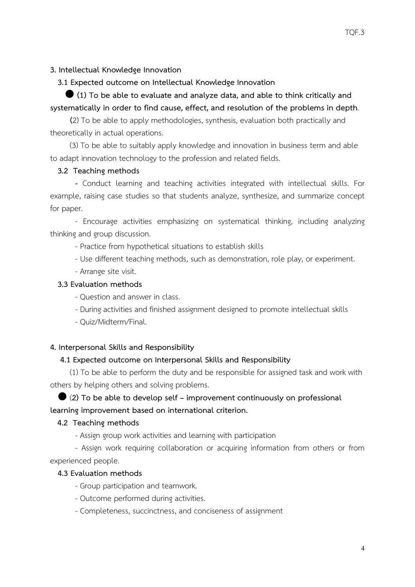**3. Intellectual Knowledge Innovation**

 **3.1 Expected outcome on Intellectual Knowledge Innovation**

 **(1) To be able to evaluate and analyze data, and able to think critically and systematically in order to find cause, effect, and resolution of the problems in depth**.

**(**2) To be able to apply methodologies, synthesis, evaluation both practically and theoretically in actual operations.

(3) To be able to suitably apply knowledge and innovation in business term and able to adapt innovation technology to the profession and related fields.

### **3.2 Teaching methods**

**-** Conduct learning and teaching activities integrated with intellectual skills. For example, raising case studies so that students analyze, synthesize, and summarize concept for paper.

- Encourage activities emphasizing on systematical thinking, including analyzing thinking and group discussion.

- Practice from hypothetical situations to establish skills

- Use different teaching methods, such as demonstration, role play, or experiment.

- Arrange site visit.

### **3.3 Evaluation methods**

- Question and answer in class.
- During activities and finished assignment designed to promote intellectual skills
- Quiz/Midterm/Final.

### **4. Interpersonal Skills and Responsibility**

## **4.1 Expected outcome on Interpersonal Skills and Responsibility**

(1) To be able to perform the duty and be responsible for assigned task and work with others by helping others and solving problems.

# (**2) To be able to develop self – improvement continuously on professional learning improvement based on international criterion.**

### **4.2 Teaching methods**

- Assign group work activities and learning with participation

- Assign work requiring collaboration or acquiring information from others or from experienced people.

### **4.3 Evaluation methods**

- Group participation and teamwork.
- Outcome performed during activities.
- Completeness, succinctness, and conciseness of assignment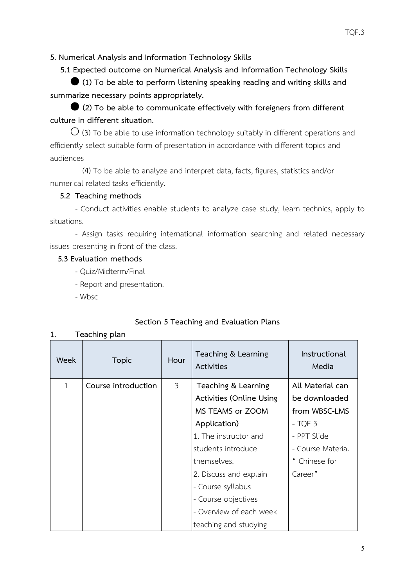**5. Numerical Analysis and Information Technology Skills**

 **5.1 Expected outcome on Numerical Analysis and Information Technology Skills**

 **(1) To be able to perform listening speaking reading and writing skills and summarize necessary points appropriately.**

 **(2) To be able to communicate effectively with foreigners from different culture in different situation.**

 $\bigcirc$  (3) To be able to use information technology suitably in different operations and efficiently select suitable form of presentation in accordance with different topics and audiences

 (4) To be able to analyze and interpret data, facts, figures, statistics and/or numerical related tasks efficiently.

# **5.2 Teaching methods**

- Conduct activities enable students to analyze case study, learn technics, apply to situations.

- Assign tasks requiring international information searching and related necessary issues presenting in front of the class.

# **5.3 Evaluation methods**

- Quiz/Midterm/Final
- Report and presentation.
- Wbsc

# **Section 5 Teaching and Evaluation Plans**

| Teaching plan |  |
|---------------|--|
|               |  |

| Week | <b>Topic</b>        | Hour           | Teaching & Learning<br><b>Activities</b> | Instructional<br>Media |
|------|---------------------|----------------|------------------------------------------|------------------------|
| 1    | Course introduction | $\mathfrak{Z}$ | Teaching & Learning                      | All Material can       |
|      |                     |                | Activities (Online Using                 | be downloaded          |
|      |                     |                | MS TEAMS or ZOOM                         | from WBSC-LMS          |
|      |                     |                | Application)                             | $-TOF3$                |
|      |                     |                | 1. The instructor and                    | - PPT Slide            |
|      |                     |                | students introduce                       | - Course Material      |
|      |                     |                | themselves.                              | Chinese for            |
|      |                     |                | 2. Discuss and explain                   | Career"                |
|      |                     |                | - Course syllabus                        |                        |
|      |                     |                | - Course objectives                      |                        |
|      |                     |                | - Overview of each week                  |                        |
|      |                     |                | teaching and studying                    |                        |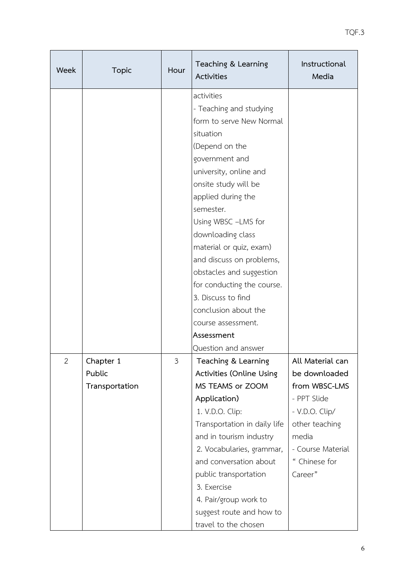| Week | <b>Topic</b>                          | Hour | Teaching & Learning<br><b>Activities</b>                                                                                                                                                                                                                                                                                                                                                                                                               | Instructional<br>Media                                                                                                                                          |
|------|---------------------------------------|------|--------------------------------------------------------------------------------------------------------------------------------------------------------------------------------------------------------------------------------------------------------------------------------------------------------------------------------------------------------------------------------------------------------------------------------------------------------|-----------------------------------------------------------------------------------------------------------------------------------------------------------------|
|      |                                       |      | activities<br>- Teaching and studying<br>form to serve New Normal<br>situation<br>(Depend on the<br>government and<br>university, online and<br>onsite study will be<br>applied during the<br>semester.<br>Using WBSC -LMS for<br>downloading class<br>material or quiz, exam)<br>and discuss on problems,<br>obstacles and suggestion<br>for conducting the course.<br>3. Discuss to find<br>conclusion about the<br>course assessment.<br>Assessment |                                                                                                                                                                 |
| 2    | Chapter 1<br>Public<br>Transportation | 3    | Question and answer<br>Teaching & Learning<br>Activities (Online Using<br>MS TEAMS or ZOOM<br>Application)<br>1. V.D.O. Clip:<br>Transportation in daily life<br>and in tourism industry<br>2. Vocabularies, grammar,<br>and conversation about<br>public transportation<br>3. Exercise<br>4. Pair/group work to<br>suggest route and how to<br>travel to the chosen                                                                                   | All Material can<br>be downloaded<br>from WBSC-LMS<br>- PPT Slide<br>- V.D.O. Clip/<br>other teaching<br>media<br>- Course Material<br>" Chinese for<br>Career" |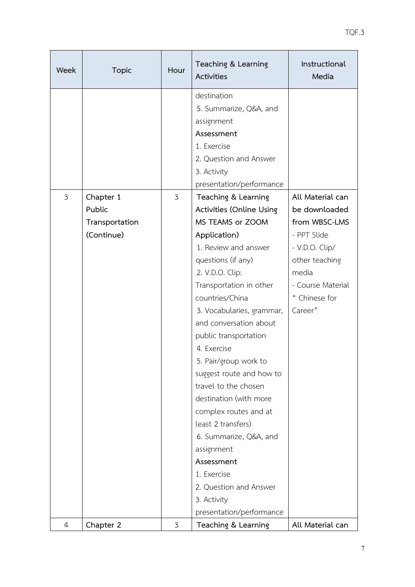| Week | <b>Topic</b>                                        | Hour           | Teaching & Learning<br><b>Activities</b>                                                                                                                                                                                                                                                                                                                                                                                                                                                                                                                                     | Instructional<br>Media                                                                                                                                          |
|------|-----------------------------------------------------|----------------|------------------------------------------------------------------------------------------------------------------------------------------------------------------------------------------------------------------------------------------------------------------------------------------------------------------------------------------------------------------------------------------------------------------------------------------------------------------------------------------------------------------------------------------------------------------------------|-----------------------------------------------------------------------------------------------------------------------------------------------------------------|
|      |                                                     |                | destination<br>5. Summarize, Q&A, and<br>assignment<br>Assessment<br>1. Exercise<br>2. Question and Answer<br>3. Activity<br>presentation/performance                                                                                                                                                                                                                                                                                                                                                                                                                        |                                                                                                                                                                 |
| 3    | Chapter 1<br>Public<br>Transportation<br>(Continue) | $\mathfrak{Z}$ | Teaching & Learning<br><b>Activities (Online Using</b><br>MS TEAMS or ZOOM<br>Application)<br>1. Review and answer<br>questions (if any)<br>2. V.D.O. Clip:<br>Transportation in other<br>countries/China<br>3. Vocabularies, grammar,<br>and conversation about<br>public transportation<br>4. Exercise<br>5. Pair/group work to<br>suggest route and how to<br>travel to the chosen<br>destination (with more<br>complex routes and at<br>least 2 transfers)<br>6. Summarize, Q&A, and<br>assignment<br>Assessment<br>1. Exercise<br>2. Question and Answer<br>3. Activity | All Material can<br>be downloaded<br>from WBSC-LMS<br>- PPT Slide<br>- V.D.O. Clip/<br>other teaching<br>media<br>- Course Material<br>" Chinese for<br>Career" |
| 4    | Chapter 2                                           | $\mathfrak{Z}$ | presentation/performance<br>Teaching & Learning                                                                                                                                                                                                                                                                                                                                                                                                                                                                                                                              | All Material can                                                                                                                                                |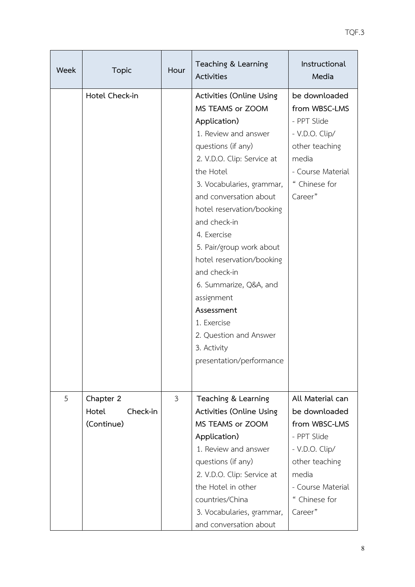| Week | <b>Topic</b>                   | Hour | Teaching & Learning<br><b>Activities</b>                                                                                                                                                                                                                                                                                                                                                                                                                                                    | Instructional<br>Media                                                                                                                      |
|------|--------------------------------|------|---------------------------------------------------------------------------------------------------------------------------------------------------------------------------------------------------------------------------------------------------------------------------------------------------------------------------------------------------------------------------------------------------------------------------------------------------------------------------------------------|---------------------------------------------------------------------------------------------------------------------------------------------|
|      | Hotel Check-in                 |      | Activities (Online Using<br>MS TEAMS or ZOOM<br>Application)<br>1. Review and answer<br>questions (if any)<br>2. V.D.O. Clip: Service at<br>the Hotel<br>3. Vocabularies, grammar,<br>and conversation about<br>hotel reservation/booking<br>and check-in<br>4. Exercise<br>5. Pair/group work about<br>hotel reservation/booking<br>and check-in<br>6. Summarize, Q&A, and<br>assignment<br>Assessment<br>1. Exercise<br>2. Question and Answer<br>3. Activity<br>presentation/performance | be downloaded<br>from WBSC-LMS<br>- PPT Slide<br>- V.D.O. Clip/<br>other teaching<br>media<br>- Course Material<br>" Chinese for<br>Career" |
| 5    | Chapter 2<br>Hotel<br>Check-in | 3    | Teaching & Learning<br>Activities (Online Using                                                                                                                                                                                                                                                                                                                                                                                                                                             | All Material can<br>be downloaded                                                                                                           |
|      | (Continue)                     |      | MS TEAMS or ZOOM                                                                                                                                                                                                                                                                                                                                                                                                                                                                            | from WBSC-LMS                                                                                                                               |
|      |                                |      | Application)                                                                                                                                                                                                                                                                                                                                                                                                                                                                                | - PPT Slide                                                                                                                                 |
|      |                                |      | 1. Review and answer                                                                                                                                                                                                                                                                                                                                                                                                                                                                        | - V.D.O. Clip/                                                                                                                              |
|      |                                |      | questions (if any)                                                                                                                                                                                                                                                                                                                                                                                                                                                                          | other teaching                                                                                                                              |
|      |                                |      | 2. V.D.O. Clip: Service at                                                                                                                                                                                                                                                                                                                                                                                                                                                                  | media                                                                                                                                       |
|      |                                |      | the Hotel in other                                                                                                                                                                                                                                                                                                                                                                                                                                                                          | - Course Material                                                                                                                           |
|      |                                |      | countries/China                                                                                                                                                                                                                                                                                                                                                                                                                                                                             | " Chinese for                                                                                                                               |
|      |                                |      | 3. Vocabularies, grammar,                                                                                                                                                                                                                                                                                                                                                                                                                                                                   | Career"                                                                                                                                     |
|      |                                |      | and conversation about                                                                                                                                                                                                                                                                                                                                                                                                                                                                      |                                                                                                                                             |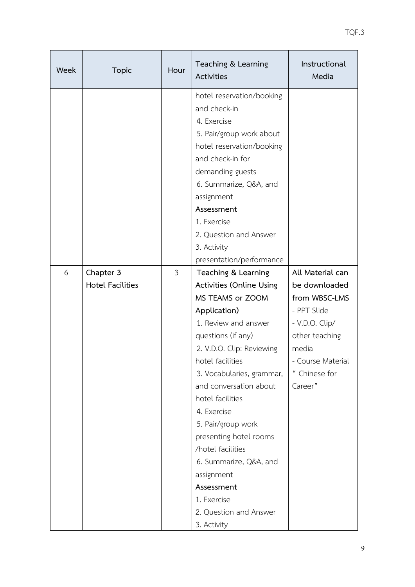| Week | <b>Topic</b>                         | Hour           | Teaching & Learning<br>Activities                                                                                                                                                                                                                                                                                                                                                                                                                               | Instructional<br>Media                                                                                                                                          |
|------|--------------------------------------|----------------|-----------------------------------------------------------------------------------------------------------------------------------------------------------------------------------------------------------------------------------------------------------------------------------------------------------------------------------------------------------------------------------------------------------------------------------------------------------------|-----------------------------------------------------------------------------------------------------------------------------------------------------------------|
|      |                                      |                | hotel reservation/booking<br>and check-in<br>4. Exercise<br>5. Pair/group work about<br>hotel reservation/booking<br>and check-in for<br>demanding guests<br>6. Summarize, Q&A, and<br>assignment<br>Assessment<br>1. Exercise<br>2. Question and Answer<br>3. Activity                                                                                                                                                                                         |                                                                                                                                                                 |
|      |                                      |                | presentation/performance                                                                                                                                                                                                                                                                                                                                                                                                                                        |                                                                                                                                                                 |
| 6    | Chapter 3<br><b>Hotel Facilities</b> | $\mathfrak{Z}$ | Teaching & Learning<br>Activities (Online Using<br>MS TEAMS or ZOOM<br>Application)<br>1. Review and answer<br>questions (if any)<br>2. V.D.O. Clip: Reviewing<br>hotel facilities<br>3. Vocabularies, grammar,<br>and conversation about<br>hotel facilities<br>4. Exercise<br>5. Pair/group work<br>presenting hotel rooms<br>/hotel facilities<br>6. Summarize, Q&A, and<br>assignment<br>Assessment<br>1. Exercise<br>2. Question and Answer<br>3. Activity | All Material can<br>be downloaded<br>from WBSC-LMS<br>- PPT Slide<br>- V.D.O. Clip/<br>other teaching<br>media<br>- Course Material<br>" Chinese for<br>Career" |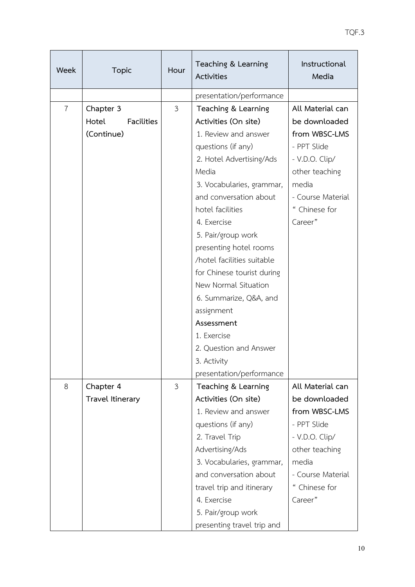| Week           | <b>Topic</b>                            | Hour           | Teaching & Learning<br><b>Activities</b>    | Instructional<br>Media             |
|----------------|-----------------------------------------|----------------|---------------------------------------------|------------------------------------|
|                |                                         |                | presentation/performance                    |                                    |
| $\overline{7}$ | Chapter 3<br>Hotel<br><b>Facilities</b> | 3              | Teaching & Learning<br>Activities (On site) | All Material can<br>be downloaded  |
|                | (Continue)                              |                | 1. Review and answer                        | from WBSC-LMS                      |
|                |                                         |                | questions (if any)                          | - PPT Slide                        |
|                |                                         |                | 2. Hotel Advertising/Ads                    | - V.D.O. Clip/                     |
|                |                                         |                | Media                                       | other teaching                     |
|                |                                         |                | 3. Vocabularies, grammar,                   | media                              |
|                |                                         |                | and conversation about                      | - Course Material                  |
|                |                                         |                | hotel facilities                            | " Chinese for                      |
|                |                                         |                | 4. Exercise                                 | Career"                            |
|                |                                         |                | 5. Pair/group work                          |                                    |
|                |                                         |                | presenting hotel rooms                      |                                    |
|                |                                         |                | /hotel facilities suitable                  |                                    |
|                |                                         |                | for Chinese tourist during                  |                                    |
|                |                                         |                | New Normal Situation                        |                                    |
|                |                                         |                | 6. Summarize, Q&A, and                      |                                    |
|                |                                         |                | assignment                                  |                                    |
|                |                                         |                | Assessment                                  |                                    |
|                |                                         |                | 1. Exercise                                 |                                    |
|                |                                         |                | 2. Question and Answer                      |                                    |
|                |                                         |                | 3. Activity                                 |                                    |
|                |                                         |                | presentation/performance                    |                                    |
| 8              | Chapter 4                               | $\mathfrak{Z}$ | Teaching & Learning                         | All Material can                   |
|                | Travel Itinerary                        |                | Activities (On site)                        | be downloaded                      |
|                |                                         |                | 1. Review and answer                        | from WBSC-LMS                      |
|                |                                         |                | questions (if any)                          | - PPT Slide                        |
|                |                                         |                | 2. Travel Trip                              | - V.D.O. Clip/                     |
|                |                                         |                | Advertising/Ads                             | other teaching                     |
|                |                                         |                | 3. Vocabularies, grammar,                   | media                              |
|                |                                         |                | and conversation about                      | - Course Material<br>" Chinese for |
|                |                                         |                | travel trip and itinerary<br>4. Exercise    | Career"                            |
|                |                                         |                | 5. Pair/group work                          |                                    |
|                |                                         |                | presenting travel trip and                  |                                    |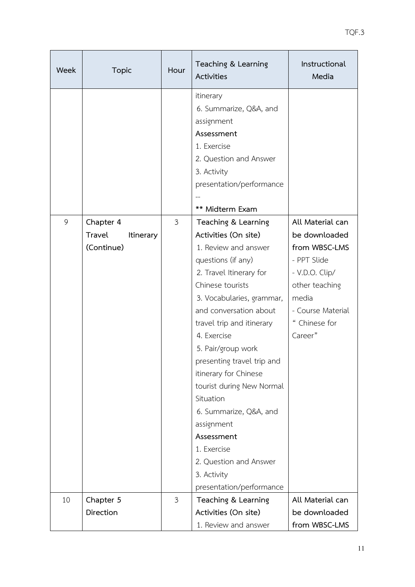| Week | <b>Topic</b>                                          | Hour           | Teaching & Learning<br>Activities                                                                                                                                                                                                                                                                                                                                                                                                                                                                            | Instructional<br>Media                                                                                                                                          |
|------|-------------------------------------------------------|----------------|--------------------------------------------------------------------------------------------------------------------------------------------------------------------------------------------------------------------------------------------------------------------------------------------------------------------------------------------------------------------------------------------------------------------------------------------------------------------------------------------------------------|-----------------------------------------------------------------------------------------------------------------------------------------------------------------|
|      |                                                       |                | itinerary<br>6. Summarize, Q&A, and<br>assignment<br>Assessment<br>1. Exercise<br>2. Question and Answer<br>3. Activity<br>presentation/performance<br>** Midterm Exam                                                                                                                                                                                                                                                                                                                                       |                                                                                                                                                                 |
| 9    | Chapter 4<br>Travel<br><b>Itinerary</b><br>(Continue) | $\mathfrak{Z}$ | Teaching & Learning<br>Activities (On site)<br>1. Review and answer<br>questions (if any)<br>2. Travel Itinerary for<br>Chinese tourists<br>3. Vocabularies, grammar,<br>and conversation about<br>travel trip and itinerary<br>4. Exercise<br>5. Pair/group work<br>presenting travel trip and<br>itinerary for Chinese<br>tourist during New Normal<br>Situation<br>6. Summarize, Q&A, and<br>assignment<br>Assessment<br>1. Exercise<br>2. Question and Answer<br>3. Activity<br>presentation/performance | All Material can<br>be downloaded<br>from WBSC-LMS<br>- PPT Slide<br>- V.D.O. Clip/<br>other teaching<br>media<br>- Course Material<br>" Chinese for<br>Career" |
| 10   | Chapter 5                                             | $\mathfrak{Z}$ | Teaching & Learning                                                                                                                                                                                                                                                                                                                                                                                                                                                                                          | All Material can                                                                                                                                                |
|      | Direction                                             |                | Activities (On site)<br>1. Review and answer                                                                                                                                                                                                                                                                                                                                                                                                                                                                 | be downloaded<br>from WBSC-LMS                                                                                                                                  |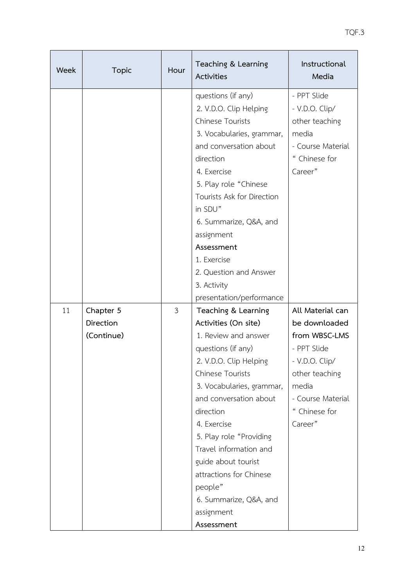| Week | <b>Topic</b>                                | Hour           | Teaching & Learning<br>Activities                                                                                                                                                                                                                                                                                                                                                                         | Instructional<br>Media                                                                                                                                          |
|------|---------------------------------------------|----------------|-----------------------------------------------------------------------------------------------------------------------------------------------------------------------------------------------------------------------------------------------------------------------------------------------------------------------------------------------------------------------------------------------------------|-----------------------------------------------------------------------------------------------------------------------------------------------------------------|
|      |                                             |                | questions (if any)<br>2. V.D.O. Clip Helping<br><b>Chinese Tourists</b><br>3. Vocabularies, grammar,<br>and conversation about<br>direction<br>4. Exercise<br>5. Play role "Chinese<br>Tourists Ask for Direction<br>in SDU"<br>6. Summarize, Q&A, and<br>assignment<br>Assessment<br>1. Exercise<br>2. Question and Answer                                                                               | - PPT Slide<br>- V.D.O. Clip/<br>other teaching<br>media<br>- Course Material<br>" Chinese for<br>Career"                                                       |
|      |                                             |                | 3. Activity<br>presentation/performance                                                                                                                                                                                                                                                                                                                                                                   |                                                                                                                                                                 |
| 11   | Chapter 5<br><b>Direction</b><br>(Continue) | $\mathfrak{Z}$ | Teaching & Learning<br>Activities (On site)<br>1. Review and answer<br>questions (if any)<br>2. V.D.O. Clip Helping<br><b>Chinese Tourists</b><br>3. Vocabularies, grammar,<br>and conversation about<br>direction<br>4. Exercise<br>5. Play role "Providing<br>Travel information and<br>guide about tourist<br>attractions for Chinese<br>people"<br>6. Summarize, Q&A, and<br>assignment<br>Assessment | All Material can<br>be downloaded<br>from WBSC-LMS<br>- PPT Slide<br>- V.D.O. Clip/<br>other teaching<br>media<br>- Course Material<br>" Chinese for<br>Career" |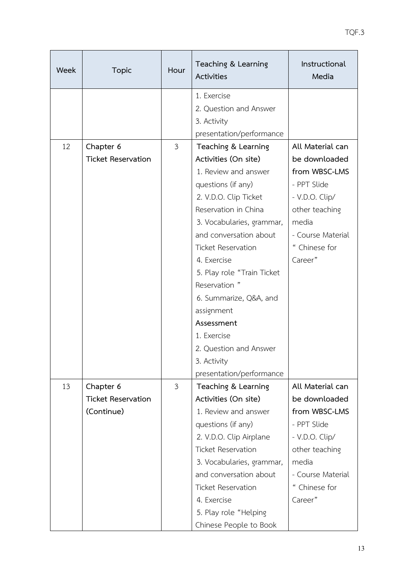| Week | <b>Topic</b>              | Hour           | Teaching & Learning<br><b>Activities</b>            | Instructional<br>Media     |
|------|---------------------------|----------------|-----------------------------------------------------|----------------------------|
|      |                           |                | 1. Exercise                                         |                            |
|      |                           |                | 2. Question and Answer                              |                            |
|      |                           |                | 3. Activity                                         |                            |
|      |                           |                | presentation/performance                            |                            |
| 12   | Chapter 6                 | $\mathfrak{Z}$ | Teaching & Learning                                 | All Material can           |
|      | <b>Ticket Reservation</b> |                | Activities (On site)                                | be downloaded              |
|      |                           |                | 1. Review and answer                                | from WBSC-LMS              |
|      |                           |                | questions (if any)                                  | - PPT Slide                |
|      |                           |                | 2. V.D.O. Clip Ticket                               | - V.D.O. Clip/             |
|      |                           |                | Reservation in China                                | other teaching             |
|      |                           |                | 3. Vocabularies, grammar,                           | media<br>- Course Material |
|      |                           |                | and conversation about<br><b>Ticket Reservation</b> | " Chinese for              |
|      |                           |                | 4. Exercise                                         | Career"                    |
|      |                           |                |                                                     |                            |
|      |                           |                | 5. Play role "Train Ticket                          |                            |
|      |                           |                | Reservation "<br>6. Summarize, Q&A, and             |                            |
|      |                           |                | assignment                                          |                            |
|      |                           |                | Assessment                                          |                            |
|      |                           |                | 1. Exercise                                         |                            |
|      |                           |                | 2. Question and Answer                              |                            |
|      |                           |                | 3. Activity                                         |                            |
|      |                           |                | presentation/performance                            |                            |
| 13   | Chapter 6                 | 3              | Teaching & Learning                                 | All Material can           |
|      | <b>Ticket Reservation</b> |                | Activities (On site)                                | be downloaded              |
|      | (Continue)                |                | 1. Review and answer                                | from WBSC-LMS              |
|      |                           |                | questions (if any)                                  | - PPT Slide                |
|      |                           |                | 2. V.D.O. Clip Airplane                             | - V.D.O. Clip/             |
|      |                           |                | <b>Ticket Reservation</b>                           | other teaching             |
|      |                           |                | 3. Vocabularies, grammar,                           | media                      |
|      |                           |                | and conversation about                              | - Course Material          |
|      |                           |                | <b>Ticket Reservation</b>                           | " Chinese for              |
|      |                           |                | 4. Exercise                                         | Career"                    |
|      |                           |                | 5. Play role "Helping                               |                            |
|      |                           |                | Chinese People to Book                              |                            |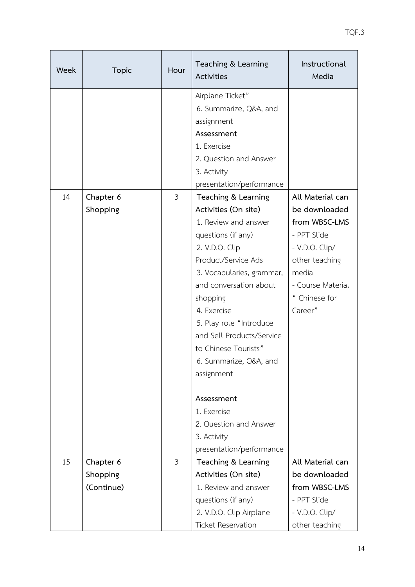| Week | <b>Topic</b>          | Hour           | Teaching & Learning<br>Activities                                                                                                                                                                                                                                                                                                                                                                                                                                                                                                       | Instructional<br>Media                                                                                                                                          |
|------|-----------------------|----------------|-----------------------------------------------------------------------------------------------------------------------------------------------------------------------------------------------------------------------------------------------------------------------------------------------------------------------------------------------------------------------------------------------------------------------------------------------------------------------------------------------------------------------------------------|-----------------------------------------------------------------------------------------------------------------------------------------------------------------|
| 14   | Chapter 6<br>Shopping | $\mathfrak{Z}$ | Airplane Ticket"<br>6. Summarize, Q&A, and<br>assignment<br>Assessment<br>1. Exercise<br>2. Question and Answer<br>3. Activity<br>presentation/performance<br>Teaching & Learning<br>Activities (On site)<br>1. Review and answer<br>questions (if any)<br>2. V.D.O. Clip<br>Product/Service Ads<br>3. Vocabularies, grammar,<br>and conversation about<br>shopping<br>4. Exercise<br>5. Play role "Introduce<br>and Sell Products/Service<br>to Chinese Tourists"<br>6. Summarize, Q&A, and<br>assignment<br>Assessment<br>1. Exercise | All Material can<br>be downloaded<br>from WBSC-LMS<br>- PPT Slide<br>- V.D.O. Clip/<br>other teaching<br>media<br>- Course Material<br>" Chinese for<br>Career" |
|      |                       |                | 2. Question and Answer<br>3. Activity<br>presentation/performance                                                                                                                                                                                                                                                                                                                                                                                                                                                                       |                                                                                                                                                                 |
| 15   | Chapter 6             | $\mathfrak{Z}$ | Teaching & Learning                                                                                                                                                                                                                                                                                                                                                                                                                                                                                                                     | All Material can                                                                                                                                                |
|      | Shopping              |                | Activities (On site)                                                                                                                                                                                                                                                                                                                                                                                                                                                                                                                    | be downloaded                                                                                                                                                   |
|      | (Continue)            |                | 1. Review and answer                                                                                                                                                                                                                                                                                                                                                                                                                                                                                                                    | from WBSC-LMS                                                                                                                                                   |
|      |                       |                | questions (if any)                                                                                                                                                                                                                                                                                                                                                                                                                                                                                                                      | - PPT Slide                                                                                                                                                     |
|      |                       |                | 2. V.D.O. Clip Airplane<br>- V.D.O. Clip/                                                                                                                                                                                                                                                                                                                                                                                                                                                                                               |                                                                                                                                                                 |
|      |                       |                | <b>Ticket Reservation</b>                                                                                                                                                                                                                                                                                                                                                                                                                                                                                                               | other teaching                                                                                                                                                  |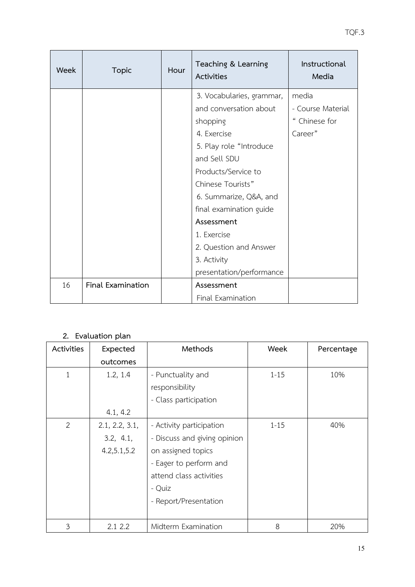| Week | <b>Topic</b>             | Hour | Teaching & Learning<br>Activities | Instructional<br>Media |
|------|--------------------------|------|-----------------------------------|------------------------|
|      |                          |      | 3. Vocabularies, grammar,         | media                  |
|      |                          |      | and conversation about            | - Course Material      |
|      |                          |      | shopping                          | " Chinese for          |
|      |                          |      | 4. Exercise                       | Career"                |
|      |                          |      | 5. Play role "Introduce           |                        |
|      |                          |      | and Sell SDU                      |                        |
|      |                          |      | Products/Service to               |                        |
|      |                          |      | Chinese Tourists"                 |                        |
|      |                          |      | 6. Summarize, Q&A, and            |                        |
|      |                          |      | final examination guide           |                        |
|      |                          |      | Assessment                        |                        |
|      |                          |      | 1. Exercise                       |                        |
|      |                          |      | 2. Question and Answer            |                        |
|      |                          |      | 3. Activity                       |                        |
|      |                          |      | presentation/performance          |                        |
| 16   | <b>Final Examination</b> |      | Assessment                        |                        |
|      |                          |      | Final Examination                 |                        |

## **2. Evaluation plan**

| Activities     | Expected       | Methods                      | Week     | Percentage |
|----------------|----------------|------------------------------|----------|------------|
|                | outcomes       |                              |          |            |
| $\mathbf{1}$   | 1.2, 1.4       | - Punctuality and            | $1 - 15$ | 10%        |
|                |                | responsibility               |          |            |
|                |                | - Class participation        |          |            |
|                | 4.1, 4.2       |                              |          |            |
| $\overline{2}$ | 2.1, 2.2, 3.1, | - Activity participation     | $1 - 15$ | 40%        |
|                | 3.2, 4.1,      | - Discuss and giving opinion |          |            |
|                | 4.2,5.1,5.2    | on assigned topics           |          |            |
|                |                | - Eager to perform and       |          |            |
|                |                | attend class activities      |          |            |
|                |                | - Quiz                       |          |            |
|                |                | - Report/Presentation        |          |            |
|                |                |                              |          |            |
| 3              | 2.1 2.2        | Midterm Examination          | 8        | 20%        |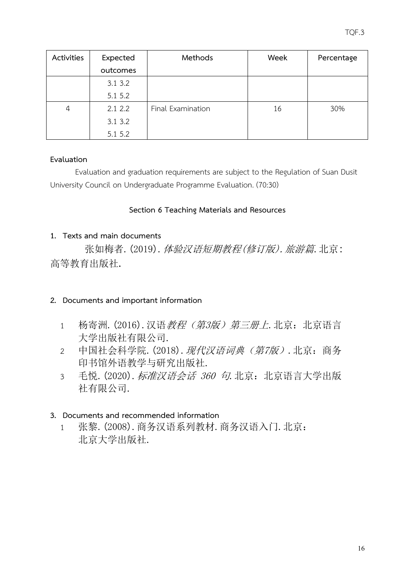| Activities | Expected | Methods           | Week | Percentage |
|------------|----------|-------------------|------|------------|
|            | outcomes |                   |      |            |
|            | 3.13.2   |                   |      |            |
|            | 5.1 5.2  |                   |      |            |
| 4          | 2.12.2   | Final Examination | 16   | 30%        |
|            | 3.13.2   |                   |      |            |
|            | 5.1 5.2  |                   |      |            |

## **Evaluation**

Evaluation and graduation requirements are subject to the Regulation of Suan Dusit University Council on Undergraduate Programme Evaluation. (70:30)

# **Section 6 Teaching Materials and Resources**

# <span id="page-17-0"></span>**1. Texts and main documents**

 张如梅者.(2019).体验汉语短期教程(修订版).旅游篇.北京: 高等教育出版社.

# **2. Documents and important information**

- 1 杨寄洲. (2016). 汉语*教程(第3版) 第三册上*. 北京: 北京语言 大学出版社有限公司.
- 2 中国社会科学院. (2018). 现代汉语词典 (第7版). 北京: 商务 印书馆外语教学与研究出版社.
- 3 毛悦. (2020). 标准汉语会话 360 句. 北京: 北京语言大学出版 社有限公司.

# **3. Documents and recommended information**

1 张黎.(2008).商务汉语系列教材.商务汉语入门.北京: 北京大学出版社.